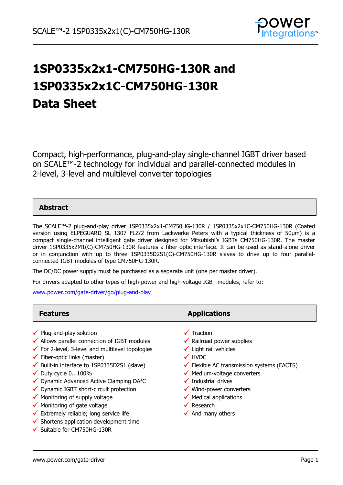

# **1SP0335x2x1-CM750HG-130R and 1SP0335x2x1C-CM750HG-130R Data Sheet**

Compact, high-performance, plug-and-play single-channel IGBT driver based on SCALE™-2 technology for individual and parallel-connected modules in 2-level, 3-level and multilevel converter topologies

# **Abstract**

The SCALE™-2 plug-and-play driver 1SP0335x2x1-CM750HG-130R / 1SP0335x2x1C-CM750HG-130R (Coated version using ELPEGUARD SL 1307 FLZ/2 from Lackwerke Peters with a typical thickness of 50µm) is a compact single-channel intelligent gate driver designed for Mitsubishi's IGBTs CM750HG-130R. The master driver 1SP0335x2M1(C)-CM750HG-130R features a fiber-optic interface. It can be used as stand-alone driver or in conjunction with up to three 1SP0335D2S1(C)-CM750HG-130R slaves to drive up to four parallelconnected IGBT modules of type CM750HG-130R.

The DC/DC power supply must be purchased as a separate unit (one per master driver).

For drivers adapted to other types of high-power and high-voltage IGBT modules, refer to:

[www.power.com/gate-driver/go/plug-and-play](http://www.power.com/gate-driver/go/plug-and-play)

- $\checkmark$  Plug-and-play solution
- $\checkmark$  Allows parallel connection of IGBT modules
- $\checkmark$  For 2-level, 3-level and multilevel topologies
- $\checkmark$  Fiber-optic links (master)
- $\checkmark$  Built-in interface to 1SP0335D2S1 (slave)
- $\checkmark$  Duty cycle 0...100%
- V Duty cycle 0...100%<br>√ Dynamic Advanced Active Clamping DA<sup>2</sup>C
- $\checkmark$  Dynamic IGBT short-circuit protection
- $\checkmark$  Monitoring of supply voltage
- $\checkmark$  Monitoring of gate voltage
- $\checkmark$  Extremely reliable; long service life
- $\checkmark$  Shortens application development time
- $\checkmark$  Suitable for CM750HG-130R

**Features Applications** 

- $\checkmark$  Traction
- $\checkmark$  Railroad power supplies
- $\checkmark$  Light rail vehicles
- **√** HVDC
- $\checkmark$  Flexible AC transmission systems (FACTS)
- $\checkmark$  Medium-voltage converters
- $\checkmark$  Industrial drives
- $\checkmark$  Wind-power converters
- $\checkmark$  Medical applications
- $\checkmark$  Research
- $\checkmark$  And many others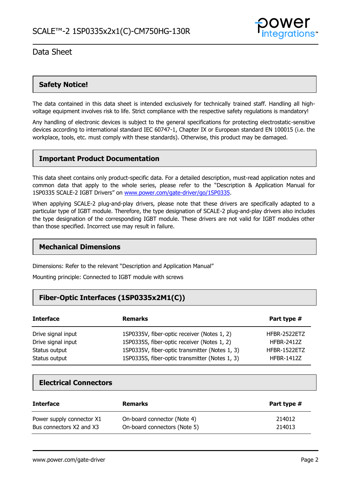

## **Safety Notice!**

The data contained in this data sheet is intended exclusively for technically trained staff. Handling all highvoltage equipment involves risk to life. Strict compliance with the respective safety regulations is mandatory!

Any handling of electronic devices is subject to the general specifications for protecting electrostatic-sensitive devices according to international standard IEC 60747-1, Chapter IX or European standard EN 100015 (i.e. the workplace, tools, etc. must comply with these standards). Otherwise, this product may be damaged.

### **Important Product Documentation**

This data sheet contains only product-specific data. For a detailed description, must-read application notes and common data that apply to the whole series, please refer to the "Description & Application Manual for 1SP0335 SCALE-2 IGBT Drivers" on [www.power.com/gate-driver/go/1SP0335.](http://www.power.com/gate-driver/go/1SP0335)

When applying SCALE-2 plug-and-play drivers, please note that these drivers are specifically adapted to a particular type of IGBT module. Therefore, the type designation of SCALE-2 plug-and-play drivers also includes the type designation of the corresponding IGBT module. These drivers are not valid for IGBT modules other than those specified. Incorrect use may result in failure.

#### **Mechanical Dimensions**

Dimensions: Refer to the relevant "Description and Application Manual"

Mounting principle: Connected to IGBT module with screws

### **Fiber-Optic Interfaces (1SP0335x2M1(C))**

| <b>Interface</b>   | <b>Remarks</b>                                 | Part type #       |
|--------------------|------------------------------------------------|-------------------|
| Drive signal input | 1SP0335V, fiber-optic receiver (Notes 1, 2)    | HFBR-2522ETZ      |
| Drive signal input | 1SP0335S, fiber-optic receiver (Notes 1, 2)    | <b>HFBR-2412Z</b> |
| Status output      | 1SP0335V, fiber-optic transmitter (Notes 1, 3) | HFBR-1522ETZ      |
| Status output      | 1SP0335S, fiber-optic transmitter (Notes 1, 3) | <b>HFBR-1412Z</b> |

### **Electrical Connectors**

| <b>Interface</b>          | <b>Remarks</b>               | Part type # |
|---------------------------|------------------------------|-------------|
| Power supply connector X1 | On-board connector (Note 4)  | 214012      |
| Bus connectors X2 and X3  | On-board connectors (Note 5) | 214013      |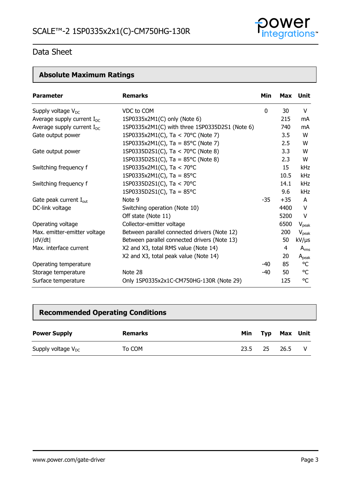

# **Absolute Maximum Ratings**

| <b>Parameter</b>                   | <b>Remarks</b>                                 | Min         |       | Max Unit          |
|------------------------------------|------------------------------------------------|-------------|-------|-------------------|
| Supply voltage $V_{DC}$            | VDC to COM                                     | $\mathbf 0$ | 30    | V                 |
| Average supply current $I_{DC}$    | 1SP0335x2M1(C) only (Note 6)                   |             | 215   | mA                |
| Average supply current $I_{DC}$    | 1SP0335x2M1(C) with three 1SP0335D2S1 (Note 6) |             | 740   | mA                |
| Gate output power                  | 1SP0335x2M1(C), Ta < 70°C (Note 7)             |             | 3.5   | W                 |
|                                    | 1SP0335x2M1(C), Ta = $85^{\circ}$ C (Note 7)   |             | 2.5   | W                 |
| Gate output power                  | 1SP0335D2S1(C), Ta < 70°C (Note 8)             |             | 3.3   | W                 |
|                                    | 1SP0335D2S1(C), Ta = $85^{\circ}$ C (Note 8)   |             | 2.3   | W                 |
| Switching frequency f              | 1SP0335x2M1(C), Ta < 70°C                      |             | 15    | kHz               |
|                                    | 1SP0335x2M1(C), Ta = $85^{\circ}$ C            |             | 10.5  | kHz               |
| Switching frequency f              | 1SP0335D2S1(C), Ta < 70°C                      |             | 14.1  | <b>kHz</b>        |
|                                    | 1SP0335D2S1(C), Ta = $85^{\circ}$ C            |             | 9.6   | <b>kHz</b>        |
| Gate peak current $I_{\text{out}}$ | Note 9                                         | $-35$       | $+35$ | $\mathsf{A}$      |
| DC-link voltage                    | Switching operation (Note 10)                  |             | 4400  | V                 |
|                                    | Off state (Note 11)                            |             | 5200  | V                 |
| Operating voltage                  | Collector-emitter voltage                      |             | 6500  | $V_{\text{peak}}$ |
| Max. emitter-emitter voltage       | Between parallel connected drivers (Note 12)   |             | 200   | $V_{\rm peak}$    |
| dV/dt                              | Between parallel connected drivers (Note 13)   |             | 50    | kV/µs             |
| Max. interface current             | X2 and X3, total RMS value (Note 14)           |             | 4     | $A_{rms}$         |
|                                    | X2 and X3, total peak value (Note 14)          |             | 20    | $A_{peak}$        |
| Operating temperature              |                                                | -40         | 85    | °C                |
| Storage temperature                | Note 28                                        | -40         | 50    | °C                |
| Surface temperature                | Only 1SP0335x2x1C-CM750HG-130R (Note 29)       |             | 125   | °C                |

# **Recommended Operating Conditions**

| <b>Power Supply</b>     | Remarks | Min  |     | Typ Max Unit |  |
|-------------------------|---------|------|-----|--------------|--|
| Supply voltage $V_{DC}$ | To COM  | 23.5 | -25 | 26.5         |  |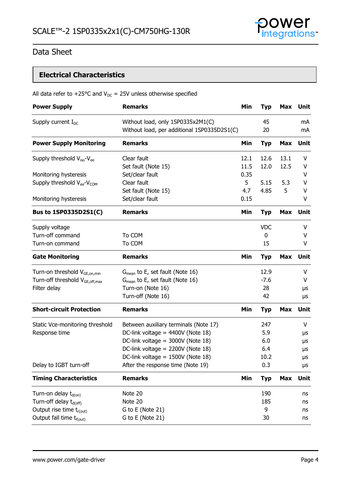

# **Electrical Characteristics**

|  | All data refer to +25°C and $V_{DC}$ = 25V unless otherwise specified |
|--|-----------------------------------------------------------------------|
|--|-----------------------------------------------------------------------|

| <b>Power Supply</b>                                | <b>Remarks</b>                                                                   | Min  | <b>Typ</b> | <b>Max</b> | Unit        |
|----------------------------------------------------|----------------------------------------------------------------------------------|------|------------|------------|-------------|
| Supply current $I_{DC}$                            | Without load, only 1SP0335x2M1(C)<br>Without load, per additional 1SP0335D2S1(C) |      | 45<br>20   |            | mA<br>mA    |
| <b>Power Supply Monitoring</b>                     | <b>Remarks</b>                                                                   | Min  | <b>Typ</b> | <b>Max</b> | Unit        |
| Supply threshold $V_{iso}$ - $V_{ee}$              | Clear fault                                                                      | 12.1 | 12.6       | 13.1       | V           |
|                                                    | Set fault (Note 15)                                                              | 11.5 | 12.0       | 12.5       | V           |
| Monitoring hysteresis                              | Set/clear fault                                                                  | 0.35 |            |            | V           |
| Supply threshold V <sub>ee</sub> -V <sub>COM</sub> | Clear fault                                                                      | 5    | 5.15       | 5.3        | V           |
|                                                    | Set fault (Note 15)                                                              | 4.7  | 4.85       | 5          | v           |
| Monitoring hysteresis                              | Set/clear fault                                                                  | 0.15 |            |            | V           |
| Bus to 1SP0335D2S1(C)                              | <b>Remarks</b>                                                                   | Min  | <b>Typ</b> | <b>Max</b> | Unit        |
| Supply voltage                                     |                                                                                  |      | <b>VDC</b> |            | V           |
| Turn-off command                                   | To COM                                                                           |      | 0          |            | V           |
| Turn-on command                                    | To COM                                                                           |      | 15         |            | V           |
| <b>Gate Monitoring</b>                             | <b>Remarks</b>                                                                   | Min  | <b>Typ</b> | <b>Max</b> | <b>Unit</b> |
| Turn-on threshold V <sub>GE,on,min</sub>           | $G_{mean}$ to E, set fault (Note 16)                                             |      | 12.9       |            | V           |
| Turn-off threshold V <sub>GE, off, max</sub>       | $G_{mean}$ to E, set fault (Note 16)                                             |      | $-7.6$     |            | V           |
| Filter delay                                       | Turn-on (Note 16)                                                                |      | 28         |            | μs          |
|                                                    | Turn-off (Note 16)                                                               |      | 42         |            | μs          |
| <b>Short-circuit Protection</b>                    | <b>Remarks</b>                                                                   | Min  | <b>Typ</b> | <b>Max</b> | Unit        |
| Static Vce-monitoring threshold                    | Between auxiliary terminals (Note 17)                                            |      | 247        |            | V           |
| Response time                                      | DC-link voltage = 4400V (Note 18)                                                |      | 5.9        |            | μs          |
|                                                    | DC-link voltage = 3000V (Note 18)                                                |      | 6.0        |            | μs          |
|                                                    | DC-link voltage = 2200V (Note 18)                                                |      | 6.4        |            | μs          |
|                                                    | DC-link voltage = 1500V (Note 18)                                                |      | 10.2       |            | μs          |
| Delay to IGBT turn-off                             | After the response time (Note 19)                                                |      | 0.3        |            | μs          |
| <b>Timing Characteristics</b>                      | <b>Remarks</b>                                                                   | Min  | <b>Typ</b> | <b>Max</b> | Unit        |
| Turn-on delay t <sub>d(on)</sub>                   | Note 20                                                                          |      | 190        |            | ns          |
| Turn-off delay t <sub>d(off)</sub>                 | Note 20                                                                          |      | 185        |            | ns          |
| Output rise time t <sub>r(out)</sub>               | G to E (Note 21)                                                                 |      | 9          |            | ns          |
| Output fall time t <sub>f(out)</sub>               | G to E (Note 21)                                                                 |      | 30         |            | ns          |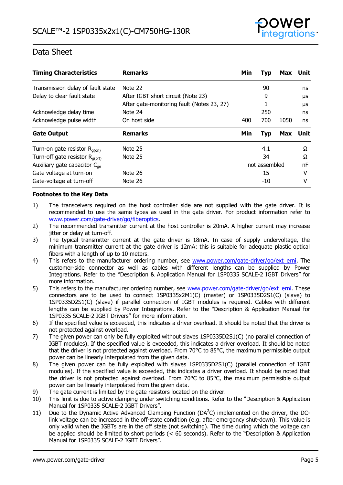

| <b>Timing Characteristics</b>              | <b>Remarks</b>                             | Min | <b>Typ</b>    | Max        | Unit |
|--------------------------------------------|--------------------------------------------|-----|---------------|------------|------|
| Transmission delay of fault state          | Note 22                                    |     | 90            |            | ns   |
| Delay to clear fault state                 | After IGBT short circuit (Note 23)         |     | 9             |            | μs   |
|                                            | After gate-monitoring fault (Notes 23, 27) |     |               |            | μs   |
| Acknowledge delay time                     | Note 24                                    |     | 250           |            | ns   |
| Acknowledge pulse width                    | On host side                               | 400 | 700           | 1050       | ns   |
| <b>Gate Output</b>                         | <b>Remarks</b>                             | Min | <b>Typ</b>    | <b>Max</b> | Unit |
| Turn-on gate resistor $R_{q(0n)}$          | Note 25                                    |     | 4.1           |            | Ω    |
| Turn-off gate resistor $R_{q(\text{off})}$ | Note 25                                    |     | 34            |            | Ω    |
| Auxiliary gate capacitor $C_{\text{ae}}$   |                                            |     | not assembled |            | nF   |
| Gate voltage at turn-on                    | Note 26                                    |     | 15            |            | v    |
| Gate-voltage at turn-off                   |                                            |     | -10           |            | v    |

#### **Footnotes to the Key Data**

- 1) The transceivers required on the host controller side are not supplied with the gate driver. It is recommended to use the same types as used in the gate driver. For product information refer to [www.power.com/gate-driver/go/fiberoptics.](http://www.power.com/gate-driver/go/fiberoptics)
- 2) The recommended transmitter current at the host controller is 20mA. A higher current may increase jitter or delay at turn-off.
- 3) The typical transmitter current at the gate driver is 18mA. In case of supply undervoltage, the minimum transmitter current at the gate driver is 12mA: this is suitable for adequate plastic optical fibers with a length of up to 10 meters.
- 4) This refers to the manufacturer ordering number, see [www.power.com/gate-driver/go/ext\\_erni.](http://www.power.com/gate-driver/go/ext_erni) The customer-side connector as well as cables with different lengths can be supplied by Power Integrations. Refer to the "Description & Application Manual for 1SP0335 SCALE-2 IGBT Drivers" for more information.
- 5) This refers to the manufacturer ordering number, see [www.power.com/gate-driver/go/ext\\_erni.](http://www.power.com/gate-driver/go/ext_erni) These connectors are to be used to connect 1SP0335x2M1(C) (master) or 1SP0335D2S1(C) (slave) to 1SP0335D2S1(C) (slave) if parallel connection of IGBT modules is required. Cables with different lengths can be supplied by Power Integrations. Refer to the "Description & Application Manual for 1SP0335 SCALE-2 IGBT Drivers" for more information.
- 6) If the specified value is exceeded, this indicates a driver overload. It should be noted that the driver is not protected against overload.
- 7) The given power can only be fully exploited without slaves 1SP0335D2S1(C) (no parallel connection of IGBT modules). If the specified value is exceeded, this indicates a driver overload. It should be noted that the driver is not protected against overload. From 70°C to 85°C, the maximum permissible output power can be linearly interpolated from the given data.
- 8) The given power can be fully exploited with slaves 1SP0335D2S1(C) (parallel connection of IGBT modules). If the specified value is exceeded, this indicates a driver overload. It should be noted that the driver is not protected against overload. From 70°C to 85°C, the maximum permissible output power can be linearly interpolated from the given data.
- 9) The gate current is limited by the gate resistors located on the driver.
- 10) This limit is due to active clamping under switching conditions. Refer to the "Description & Application Manual for 1SP0335 SCALE-2 IGBT Drivers".
- 11) Due to the Dynamic Active Advanced Clamping Function ( $DA<sup>2</sup>C$ ) implemented on the driver, the DClink voltage can be increased in the off-state condition (e.g. after emergency shut-down). This value is only valid when the IGBTs are in the off state (not switching). The time during which the voltage can be applied should be limited to short periods (< 60 seconds). Refer to the "Description & Application Manual for 1SP0335 SCALE-2 IGBT Drivers".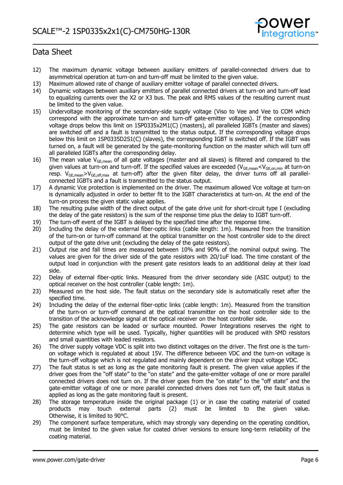

- 12) The maximum dynamic voltage between auxiliary emitters of parallel-connected drivers due to asymmetrical operation at turn-on and turn-off must be limited to the given value.
- 13) Maximum allowed rate of change of auxiliary emitter voltage of parallel connected drivers.
- 14) Dynamic voltages between auxiliary emitters of parallel connected drivers at turn-on and turn-off lead to equalizing currents over the X2 or X3 bus. The peak and RMS values of the resulting current must be limited to the given value.
- 15) Undervoltage monitoring of the secondary-side supply voltage (Viso to Vee and Vee to COM which correspond with the approximate turn-on and turn-off gate-emitter voltages). If the corresponding voltage drops below this limit on 1SP0335x2M1(C) (masters), all paralleled IGBTs (master and slaves) are switched off and a fault is transmitted to the status output. If the corresponding voltage drops below this limit on 1SP0335D2S1(C) (slaves), the corresponding IGBT is switched off. If the IGBT was turned on, a fault will be generated by the gate-monitoring function on the master which will turn off all paralleled IGBTs after the corresponding delay.
- 16) The mean value  $V_{GE,mean}$  of all gate voltages (master and all slaves) is filtered and compared to the given values at turn-on and turn-off. If the specified values are exceeded ( $V_{GE,mean} < V_{GE,on,min}$  at turn-on resp.  $V_{GE,mean} > V_{GE,off,max}$  at turn-off) after the given filter delay, the driver turns off all parallelconnected IGBTs and a fault is transmitted to the status output.
- 17) A dynamic Vce protection is implemented on the driver. The maximum allowed Vce voltage at turn-on is dynamically adjusted in order to better fit to the IGBT characteristics at turn-on. At the end of the turn-on process the given static value applies.
- 18) The resulting pulse width of the direct output of the gate drive unit for short-circuit type I (excluding the delay of the gate resistors) is the sum of the response time plus the delay to IGBT turn-off.
- 19) The turn-off event of the IGBT is delayed by the specified time after the response time.
- 20) Including the delay of the external fiber-optic links (cable length: 1m). Measured from the transition of the turn-on or turn-off command at the optical transmitter on the host controller side to the direct output of the gate drive unit (excluding the delay of the gate resistors).
- 21) Output rise and fall times are measured between 10% and 90% of the nominal output swing. The values are given for the driver side of the gate resistors with 2Ω/1uF load. The time constant of the output load in conjunction with the present gate resistors leads to an additional delay at their load side.
- 22) Delay of external fiber-optic links. Measured from the driver secondary side (ASIC output) to the optical receiver on the host controller (cable length: 1m).
- 23) Measured on the host side. The fault status on the secondary side is automatically reset after the specified time.
- 24) Including the delay of the external fiber-optic links (cable length: 1m). Measured from the transition of the turn-on or turn-off command at the optical transmitter on the host controller side to the transition of the acknowledge signal at the optical receiver on the host controller side.
- 25) The gate resistors can be leaded or surface mounted. Power Integrations reserves the right to determine which type will be used. Typically, higher quantities will be produced with SMD resistors and small quantities with leaded resistors.
- 26) The driver supply voltage VDC is split into two distinct voltages on the driver. The first one is the turnon voltage which is regulated at about 15V. The difference between VDC and the turn-on voltage is the turn-off voltage which is not regulated and mainly dependent on the driver input voltage VDC.
- 27) The fault status is set as long as the gate monitoring fault is present. The given value applies if the driver goes from the "off state" to the "on state" and the gate-emitter voltage of one or more parallel connected drivers does not turn on. If the driver goes from the "on state" to the "off state" and the gate-emitter voltage of one or more parallel connected drivers does not turn off, the fault status is applied as long as the gate monitoring fault is present.
- 28) The storage temperature inside the original package (1) or in case the coating material of coated products may touch external parts (2) must be limited to the given value. Otherwise, it is limited to 90°C.
- 29) The component surface temperature, which may strongly vary depending on the operating condition, must be limited to the given value for coated driver versions to ensure long-term reliability of the coating material.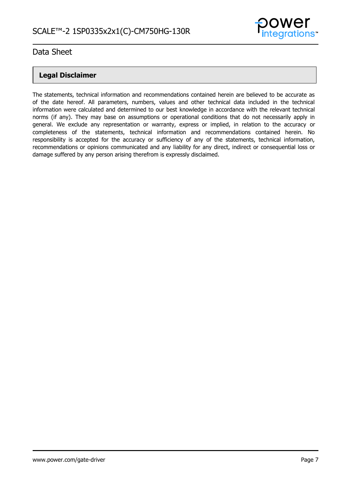

# **Legal Disclaimer**

The statements, technical information and recommendations contained herein are believed to be accurate as of the date hereof. All parameters, numbers, values and other technical data included in the technical information were calculated and determined to our best knowledge in accordance with the relevant technical norms (if any). They may base on assumptions or operational conditions that do not necessarily apply in general. We exclude any representation or warranty, express or implied, in relation to the accuracy or completeness of the statements, technical information and recommendations contained herein. No responsibility is accepted for the accuracy or sufficiency of any of the statements, technical information, recommendations or opinions communicated and any liability for any direct, indirect or consequential loss or damage suffered by any person arising therefrom is expressly disclaimed.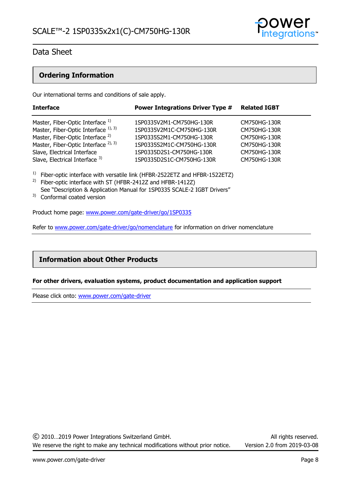

# **Ordering Information**

Our international terms and conditions of sale apply.

| <b>Interface</b>                                | <b>Power Integrations Driver Type #</b> | <b>Related IGBT</b> |
|-------------------------------------------------|-----------------------------------------|---------------------|
| Master, Fiber-Optic Interface 1)                | 1SP0335V2M1-CM750HG-130R                | CM750HG-130R        |
| Master, Fiber-Optic Interface 1), 3)            | 1SP0335V2M1C-CM750HG-130R               | CM750HG-130R        |
| Master, Fiber-Optic Interface <sup>2)</sup>     | 1SP0335S2M1-CM750HG-130R                | CM750HG-130R        |
| Master, Fiber-Optic Interface <sup>2), 3)</sup> | 1SP0335S2M1C-CM750HG-130R               | CM750HG-130R        |
| Slave, Electrical Interface                     | 1SP0335D2S1-CM750HG-130R                | CM750HG-130R        |
| Slave, Electrical Interface 3)                  | 1SP0335D2S1C-CM750HG-130R               | CM750HG-130R        |

<sup>1)</sup> Fiber-optic interface with versatile link (HFBR-2522ETZ and HFBR-1522ETZ)

- <sup>2)</sup> Fiber-optic interface with ST (HFBR-2412Z and HFBR-1412Z) See "Description & Application Manual for 1SP0335 SCALE-2 IGBT Drivers"
- 3) Conformal coated version

Product home page: [www.power.com/gate-driver/go/1SP0335](http://www.power.com/gate-driver/go/1SP0335) 

Refer to [www.power.com/gate-driver/go/nomenclature](http://www.power.com/gate-driver/go/nomenclature) for information on driver nomenclature

# **Information about Other Products**

#### **For other drivers, evaluation systems, product documentation and application support**

Please click onto: [www.power.com/gate-driver](http://www.power.com/gate-driver)